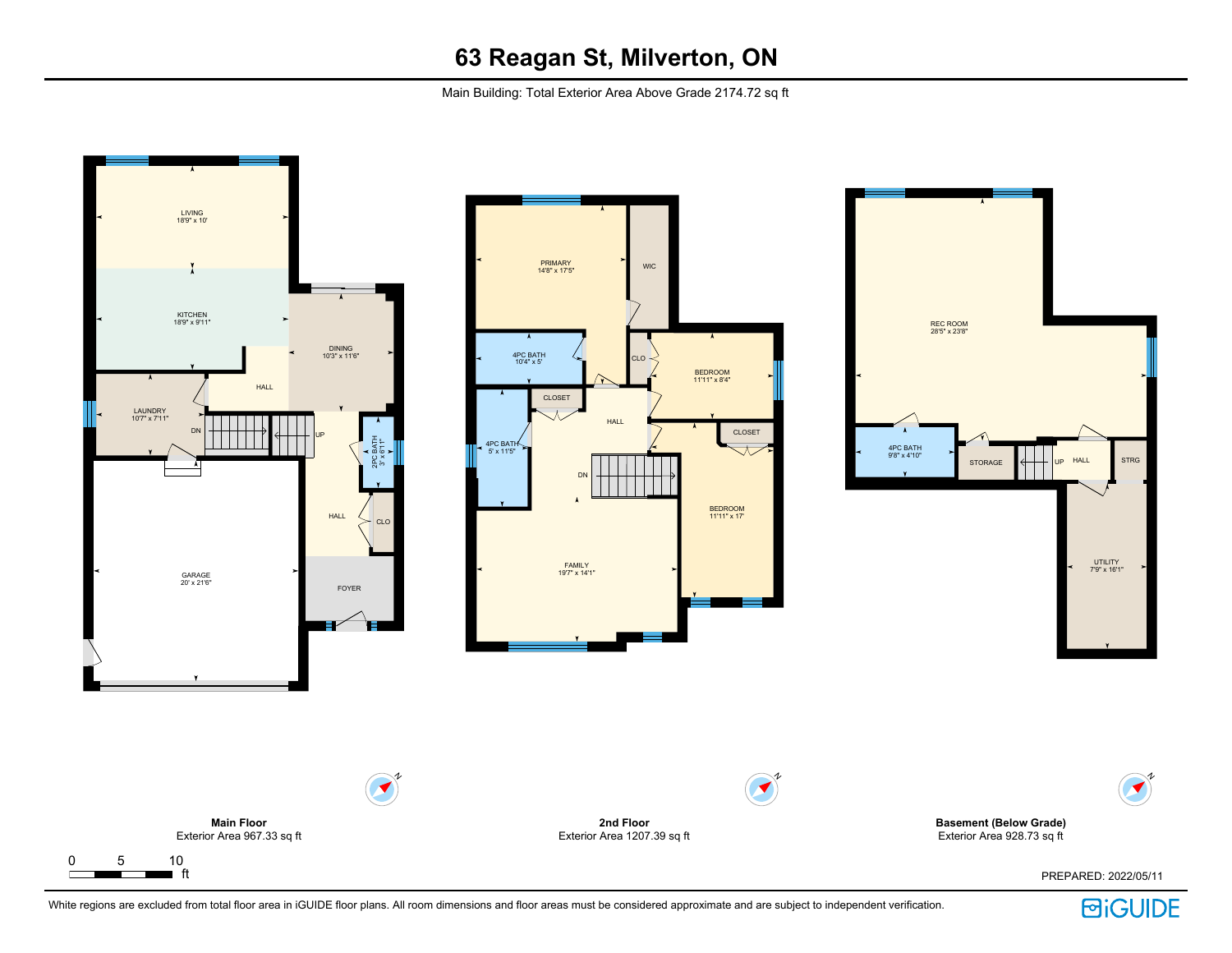Main Building: Total Exterior Area Above Grade 2174.72 sq ft



**回iGUIDE**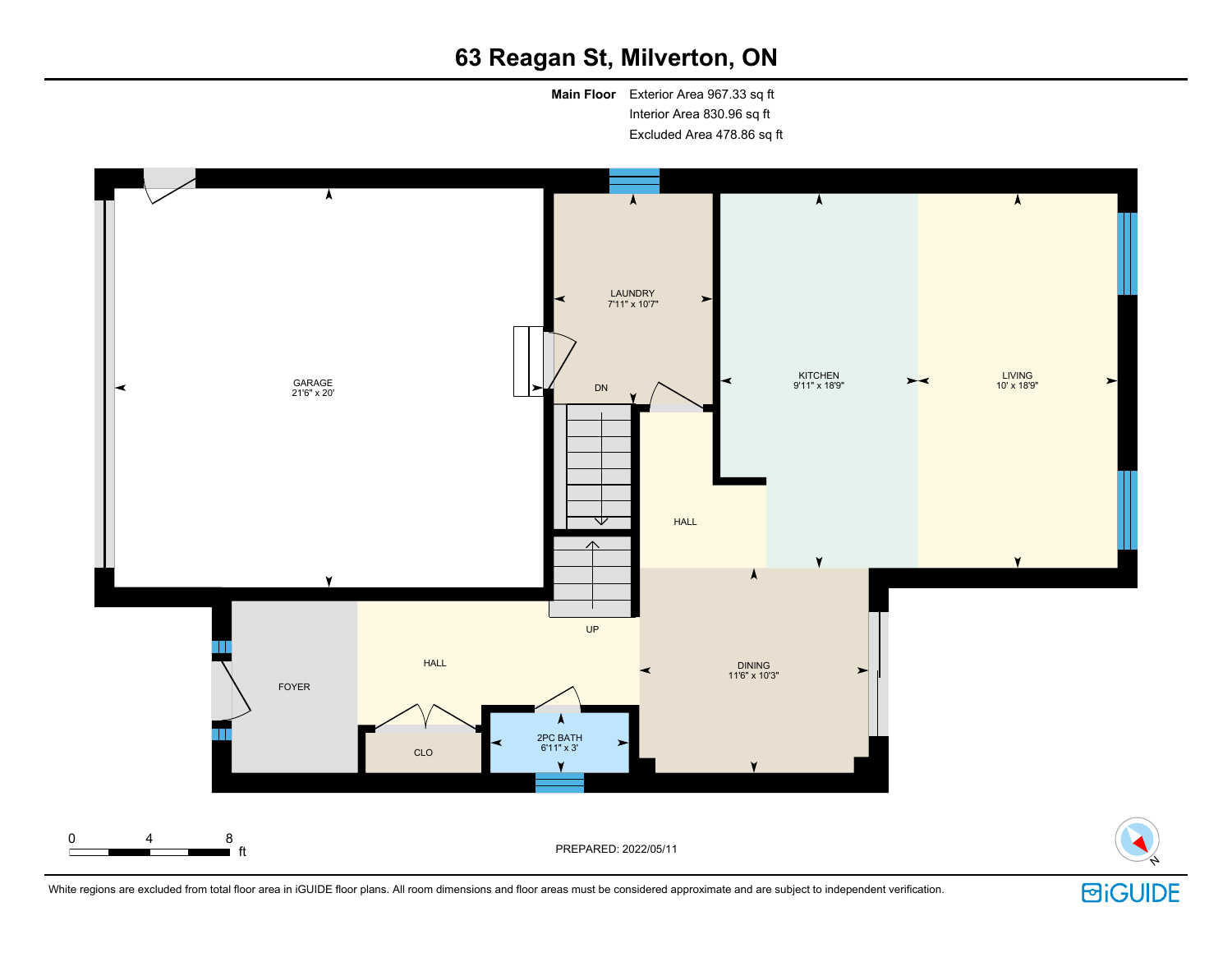**Main Floor** Exterior Area 967.33 sq ft Interior Area 830.96 sq ft Excluded Area 478.86 sq ft





N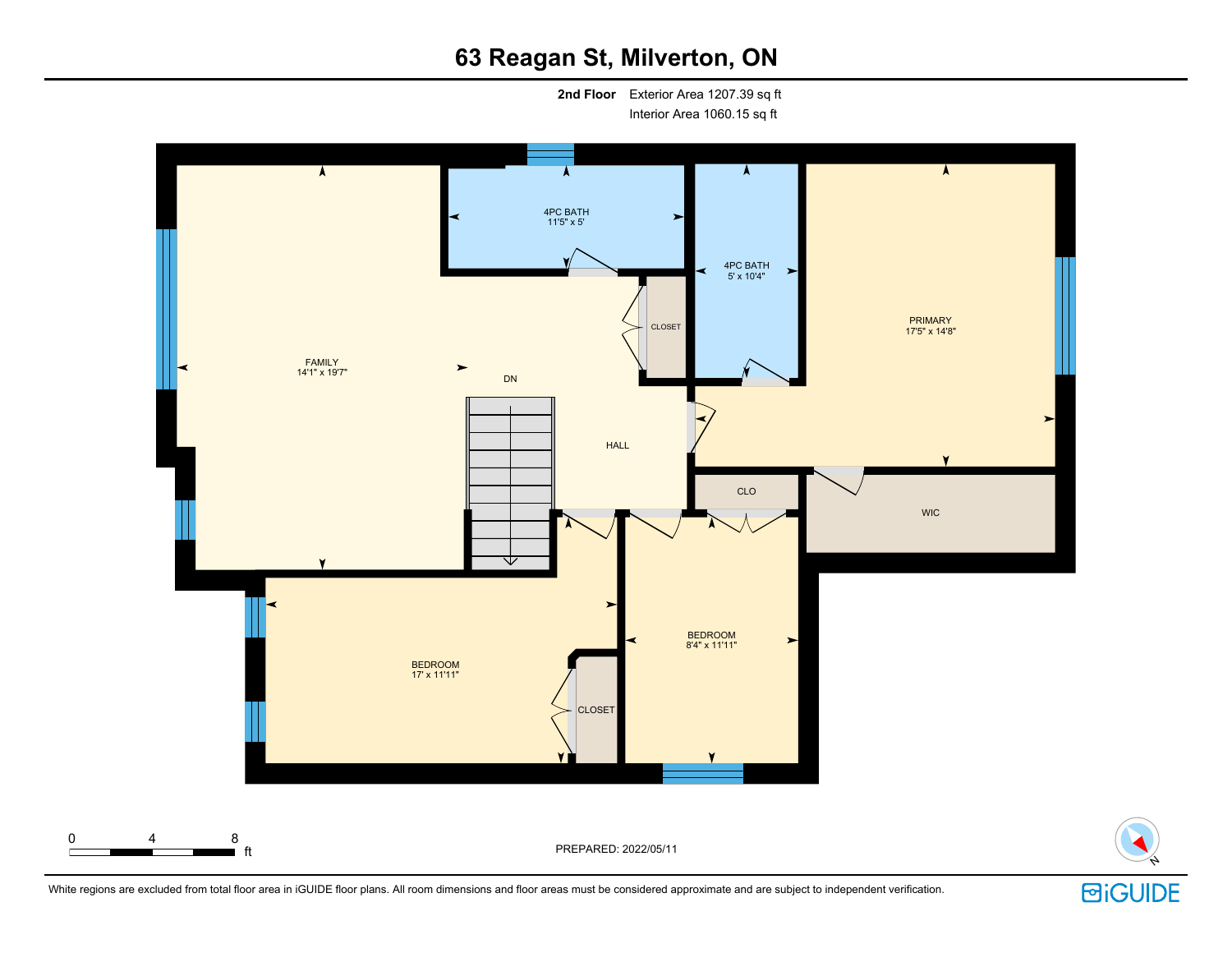**2nd Floor** Exterior Area 1207.39 sq ft Interior Area 1060.15 sq ft

 $\lambda$  $\blacktriangle$  $\overline{\boldsymbol{\lambda}}$ A 4PC BATH 11'5" x 5' 4PC BATH 5' x 10'4"  $\prec$  $\blacktriangleright$ PRIMARY 17'5" x 14'8" CLOSET FAMILY 14'1" x 19'7" DN  $\blacktriangleright$ HALL CLO WIC BEDROOM  $\blacktriangleright$ 8'4" x 11'11" BEDROOM 17' x 11'11" CLOSET

ft PREPARED: 2022/05/11



0 4 8

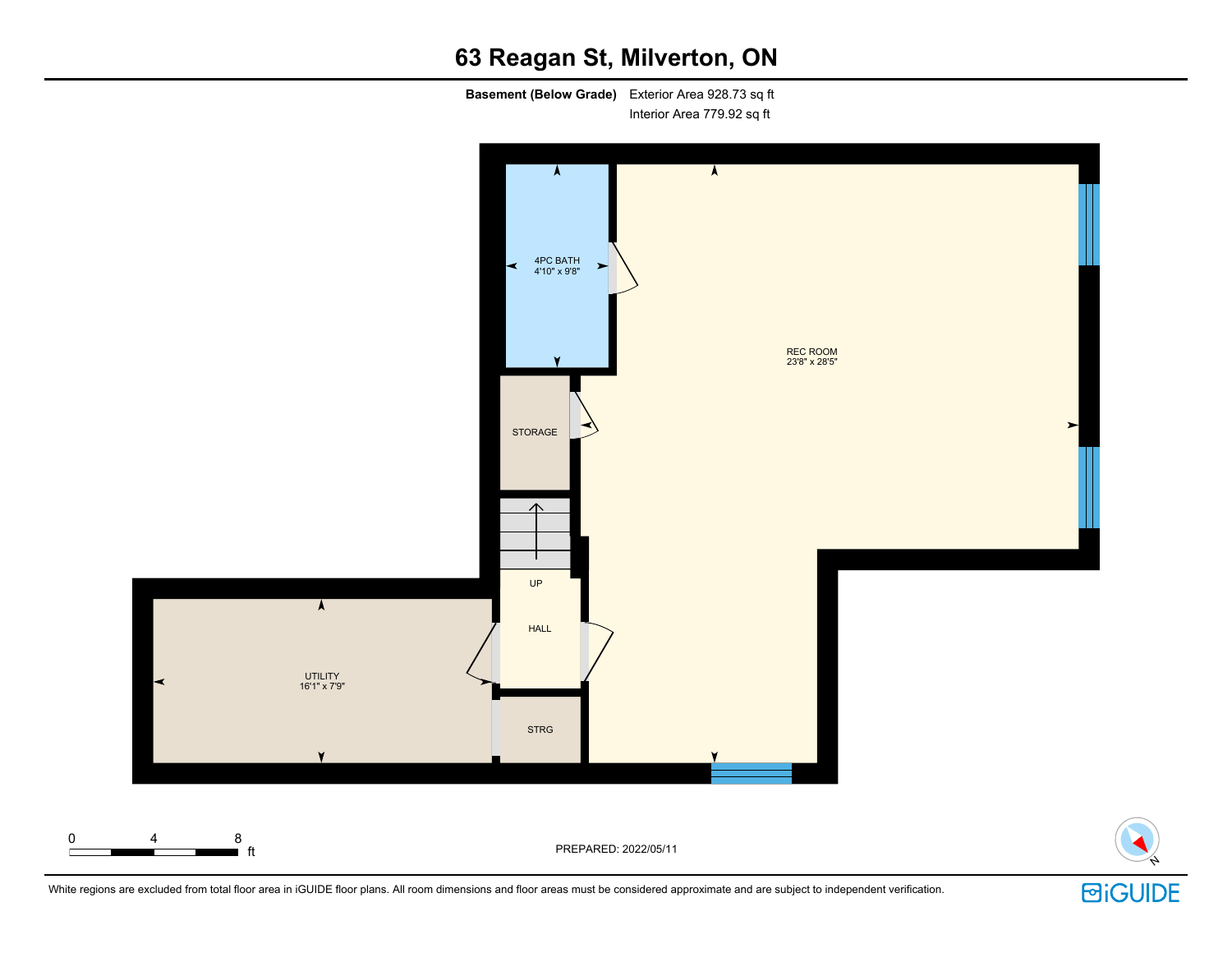**Basement (Below Grade)** Exterior Area 928.73 sq ft Interior Area 779.92 sq ft





N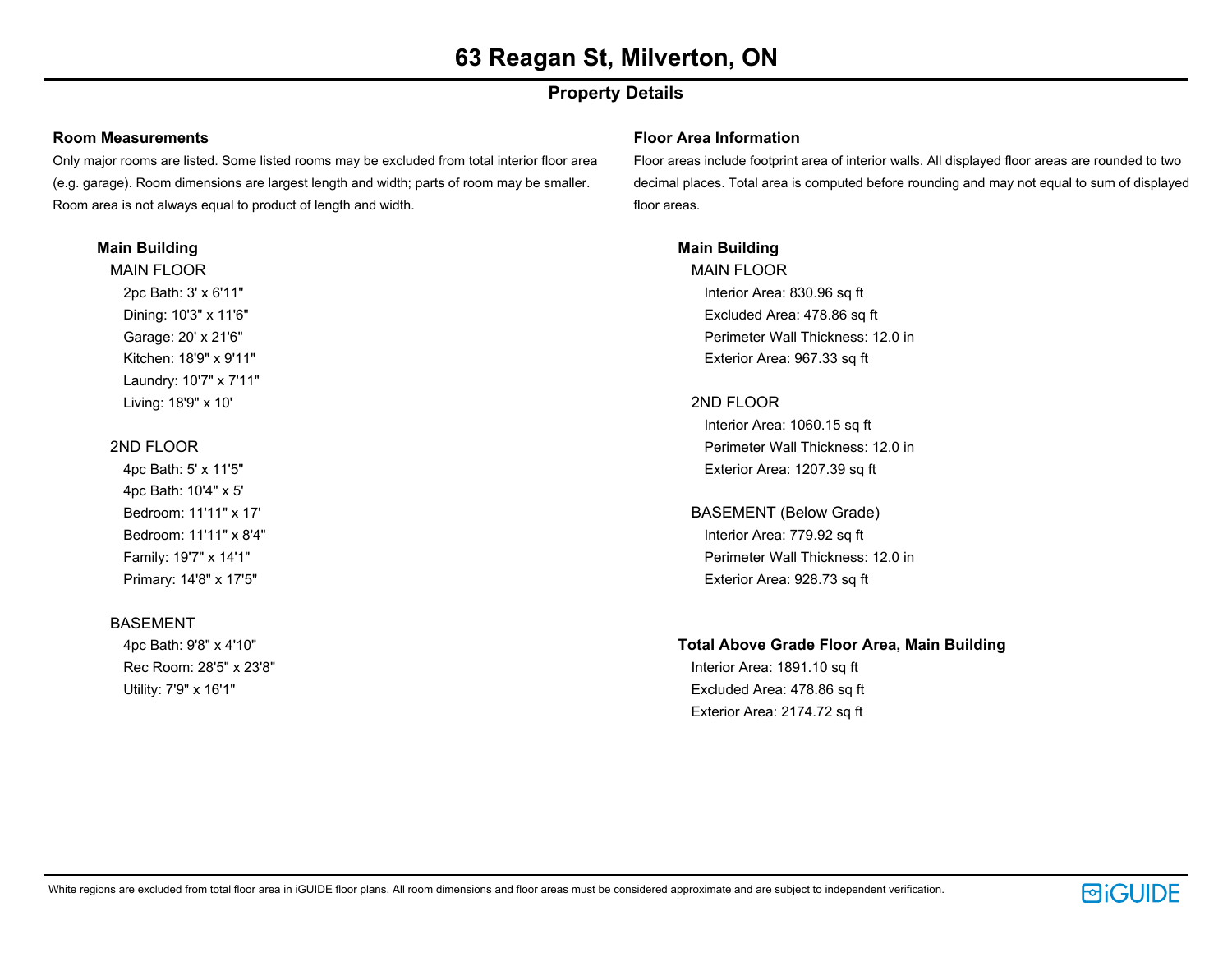# **Property Details**

### **Room Measurements**

Only major rooms are listed. Some listed rooms may be excluded from total interior floor area (e.g. garage). Room dimensions are largest length and width; parts of room may be smaller. Room area is not always equal to product of length and width.

### **Main Building**

MAIN FLOOR 2pc Bath: 3' x 6'11" Dining: 10'3" x 11'6" Garage: 20' x 21'6" Kitchen: 18'9" x 9'11" Laundry: 10'7" x 7'11" Living: 18'9" x 10'

## 2ND FLOOR

4pc Bath: 5' x 11'5" 4pc Bath: 10'4" x 5' Bedroom: 11'11" x 17' Bedroom: 11'11" x 8'4" Family: 19'7" x 14'1" Primary: 14'8" x 17'5"

## BASEMENT

4pc Bath: 9'8" x 4'10" Rec Room: 28'5" x 23'8" Utility: 7'9" x 16'1"

### **Floor Area Information**

Floor areas include footprint area of interior walls. All displayed floor areas are rounded to two decimal places. Total area is computed before rounding and may not equal to sum of displayed floor areas.

# **Main Building**

MAIN FLOOR Interior Area: 830.96 sq ft Excluded Area: 478.86 sq ft Perimeter Wall Thickness: 12.0 in Exterior Area: 967.33 sq ft

## 2ND FLOOR

Interior Area: 1060.15 sq ft Perimeter Wall Thickness: 12.0 in Exterior Area: 1207.39 sq ft

BASEMENT (Below Grade) Interior Area: 779.92 sq ft Perimeter Wall Thickness: 12.0 in Exterior Area: 928.73 sq ft

# **Total Above Grade Floor Area, Main Building**

Interior Area: 1891.10 sq ft Excluded Area: 478.86 sq ft Exterior Area: 2174.72 sq ft